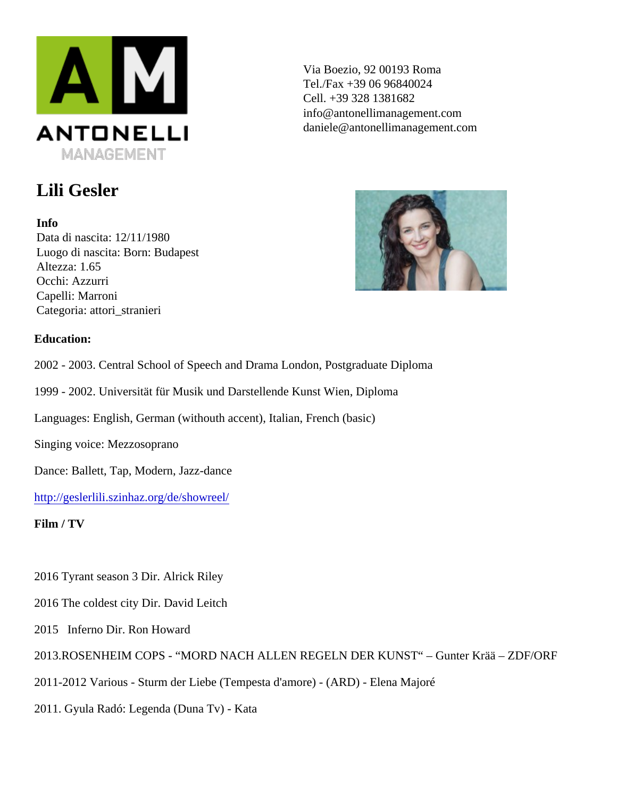Via Boezio, 92 00193 Roma Tel./Fax +39 06 96840024 Cell. +39 328 1381682 info@antonellimanagement.com daniele@antonellimanagement.com

## Lili Gesler

Info Data di nascita: 12/11/1980 Luogo di nascita: Born: Budapest Altezza: 1.65 Occhi: Azzurri Capelli: Marroni Categoria: attori\_stranieri

Education:

2002 - 2003. Central School of Speech and Drama London, Postgraduate Diploma

1999 - 2002. Universität für Musik und Darstellende Kunst Wien, Diploma

Languages: English, German (withouth accent), Italian, French (basic)

Singing voice: Mezzosoprano

Dance: Ballett, Tap, Modern, Jazz-dance

[http://geslerlili.szinhaz.org/de/showre](http://geslerlili.szinhaz.org/de/showreel/)el/

Film / TV

2016 Tyrant season 3 Dir. Alrick Riley

2016 The coldest city Dir. David Leitch

2015 Inferno Dir. Ron Howard

| 2013. ROSENHEIM COPS - "MORD NACH ALLEN REGELN DER KUNST" - Gunter Krää - ZDF/ORF |
|-----------------------------------------------------------------------------------|
|-----------------------------------------------------------------------------------|

2011-2012 Various - Sturm der Liebe (Tempesta d'amore) - (ARD) - Elena Majoré

2011. Gyula Radó: Legenda (Duna Tv) - Kata